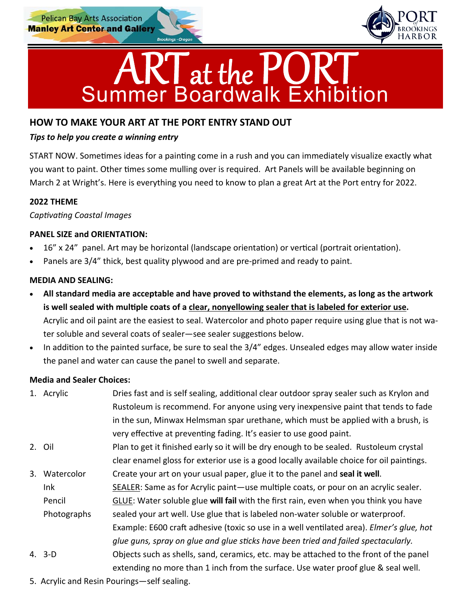



# **HOW TO MAKE YOUR ART AT THE PORT ENTRY STAND OUT**

### *Tips to help you create a winning entry*

START NOW. Sometimes ideas for a painting come in a rush and you can immediately visualize exactly what you want to paint. Other times some mulling over is required. Art Panels will be available beginning on March 2 at Wright's. Here is everything you need to know to plan a great Art at the Port entry for 2022.

#### **2022 THEME**

*CapƟvaƟng Coastal Images* 

#### **PANEL SIZE and ORIENTATION:**

- 16" x 24" panel. Art may be horizontal (landscape orientation) or vertical (portrait orientation).
- Panels are 3/4" thick, best quality plywood and are pre‐primed and ready to paint.

# **MEDIA AND SEALING:**

- **All standard media are acceptable and have proved to withstand the elements, as long as the artwork**  is well sealed with multiple coats of a clear, nonyellowing sealer that is labeled for exterior use. Acrylic and oil paint are the easiest to seal. Watercolor and photo paper require using glue that is not wa‐ ter soluble and several coats of sealer—see sealer suggestions below.
- In addition to the painted surface, be sure to seal the 3/4" edges. Unsealed edges may allow water inside the panel and water can cause the panel to swell and separate.

# **Media and Sealer Choices:**

|    | 1. Acrylic                                  | Dries fast and is self sealing, additional clear outdoor spray sealer such as Krylon and  |  |
|----|---------------------------------------------|-------------------------------------------------------------------------------------------|--|
|    |                                             | Rustoleum is recommend. For anyone using very inexpensive paint that tends to fade        |  |
|    |                                             | in the sun, Minwax Helmsman spar urethane, which must be applied with a brush, is         |  |
|    |                                             | very effective at preventing fading. It's easier to use good paint.                       |  |
|    | 2. Oil                                      | Plan to get it finished early so it will be dry enough to be sealed. Rustoleum crystal    |  |
|    |                                             | clear enamel gloss for exterior use is a good locally available choice for oil paintings. |  |
| 3. | Watercolor                                  | Create your art on your usual paper, glue it to the panel and seal it well.               |  |
|    | Ink                                         | SEALER: Same as for Acrylic paint—use multiple coats, or pour on an acrylic sealer.       |  |
|    | Pencil                                      | GLUE: Water soluble glue will fail with the first rain, even when you think you have      |  |
|    | Photographs                                 | sealed your art well. Use glue that is labeled non-water soluble or waterproof.           |  |
|    |                                             | Example: E600 craft adhesive (toxic so use in a well ventilated area). Elmer's glue, hot  |  |
|    |                                             | glue guns, spray on glue and glue sticks have been tried and failed spectacularly.        |  |
|    | 4. 3-D                                      | Objects such as shells, sand, ceramics, etc. may be attached to the front of the panel    |  |
|    |                                             | extending no more than 1 inch from the surface. Use water proof glue & seal well.         |  |
|    | 5 Acrylic and Resin Pourings — self sealing |                                                                                           |  |

5. Acrylic and Resin Pourings—self sealing.